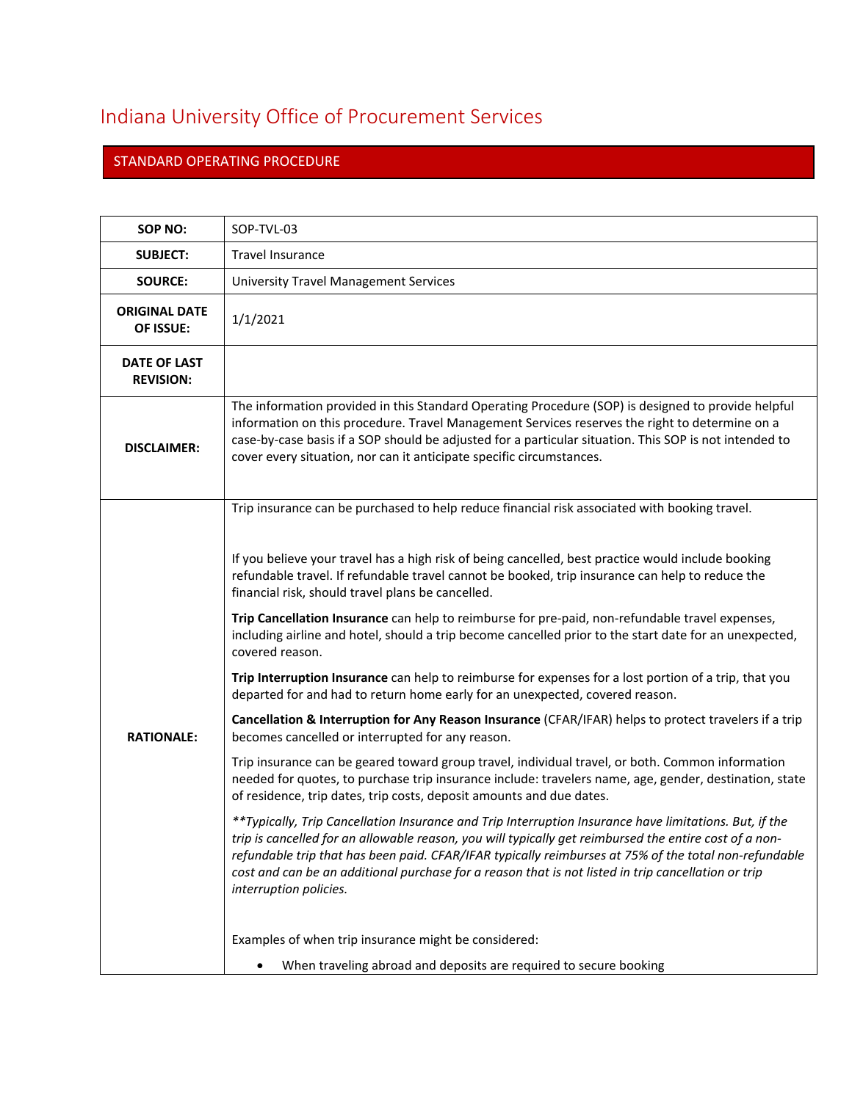## Indiana University Office of Procurement Services

## STANDARD OPERATING PROCEDURE

| SOP NO:                                 | SOP-TVL-03                                                                                                                                                                                                                                                                                                                                                                                                                                                                                                                                                                                                                                                                                                                                                                                                                                                                                                                                                                                                                                                                                                                                                                                                                                                                                                                                                                                                                                                                                                                                                                                                                                                                                            |
|-----------------------------------------|-------------------------------------------------------------------------------------------------------------------------------------------------------------------------------------------------------------------------------------------------------------------------------------------------------------------------------------------------------------------------------------------------------------------------------------------------------------------------------------------------------------------------------------------------------------------------------------------------------------------------------------------------------------------------------------------------------------------------------------------------------------------------------------------------------------------------------------------------------------------------------------------------------------------------------------------------------------------------------------------------------------------------------------------------------------------------------------------------------------------------------------------------------------------------------------------------------------------------------------------------------------------------------------------------------------------------------------------------------------------------------------------------------------------------------------------------------------------------------------------------------------------------------------------------------------------------------------------------------------------------------------------------------------------------------------------------------|
| <b>SUBJECT:</b>                         | <b>Travel Insurance</b>                                                                                                                                                                                                                                                                                                                                                                                                                                                                                                                                                                                                                                                                                                                                                                                                                                                                                                                                                                                                                                                                                                                                                                                                                                                                                                                                                                                                                                                                                                                                                                                                                                                                               |
| <b>SOURCE:</b>                          | <b>University Travel Management Services</b>                                                                                                                                                                                                                                                                                                                                                                                                                                                                                                                                                                                                                                                                                                                                                                                                                                                                                                                                                                                                                                                                                                                                                                                                                                                                                                                                                                                                                                                                                                                                                                                                                                                          |
| <b>ORIGINAL DATE</b><br>OF ISSUE:       | 1/1/2021                                                                                                                                                                                                                                                                                                                                                                                                                                                                                                                                                                                                                                                                                                                                                                                                                                                                                                                                                                                                                                                                                                                                                                                                                                                                                                                                                                                                                                                                                                                                                                                                                                                                                              |
| <b>DATE OF LAST</b><br><b>REVISION:</b> |                                                                                                                                                                                                                                                                                                                                                                                                                                                                                                                                                                                                                                                                                                                                                                                                                                                                                                                                                                                                                                                                                                                                                                                                                                                                                                                                                                                                                                                                                                                                                                                                                                                                                                       |
| <b>DISCLAIMER:</b>                      | The information provided in this Standard Operating Procedure (SOP) is designed to provide helpful<br>information on this procedure. Travel Management Services reserves the right to determine on a<br>case-by-case basis if a SOP should be adjusted for a particular situation. This SOP is not intended to<br>cover every situation, nor can it anticipate specific circumstances.                                                                                                                                                                                                                                                                                                                                                                                                                                                                                                                                                                                                                                                                                                                                                                                                                                                                                                                                                                                                                                                                                                                                                                                                                                                                                                                |
| <b>RATIONALE:</b>                       | Trip insurance can be purchased to help reduce financial risk associated with booking travel.<br>If you believe your travel has a high risk of being cancelled, best practice would include booking<br>refundable travel. If refundable travel cannot be booked, trip insurance can help to reduce the<br>financial risk, should travel plans be cancelled.<br>Trip Cancellation Insurance can help to reimburse for pre-paid, non-refundable travel expenses,<br>including airline and hotel, should a trip become cancelled prior to the start date for an unexpected,<br>covered reason.<br>Trip Interruption Insurance can help to reimburse for expenses for a lost portion of a trip, that you<br>departed for and had to return home early for an unexpected, covered reason.<br>Cancellation & Interruption for Any Reason Insurance (CFAR/IFAR) helps to protect travelers if a trip<br>becomes cancelled or interrupted for any reason.<br>Trip insurance can be geared toward group travel, individual travel, or both. Common information<br>needed for quotes, to purchase trip insurance include: travelers name, age, gender, destination, state<br>of residence, trip dates, trip costs, deposit amounts and due dates.<br>**Typically, Trip Cancellation Insurance and Trip Interruption Insurance have limitations. But, if the<br>trip is cancelled for an allowable reason, you will typically get reimbursed the entire cost of a non-<br>refundable trip that has been paid. CFAR/IFAR typically reimburses at 75% of the total non-refundable<br>cost and can be an additional purchase for a reason that is not listed in trip cancellation or trip<br>interruption policies. |
|                                         | Examples of when trip insurance might be considered:                                                                                                                                                                                                                                                                                                                                                                                                                                                                                                                                                                                                                                                                                                                                                                                                                                                                                                                                                                                                                                                                                                                                                                                                                                                                                                                                                                                                                                                                                                                                                                                                                                                  |
|                                         | When traveling abroad and deposits are required to secure booking                                                                                                                                                                                                                                                                                                                                                                                                                                                                                                                                                                                                                                                                                                                                                                                                                                                                                                                                                                                                                                                                                                                                                                                                                                                                                                                                                                                                                                                                                                                                                                                                                                     |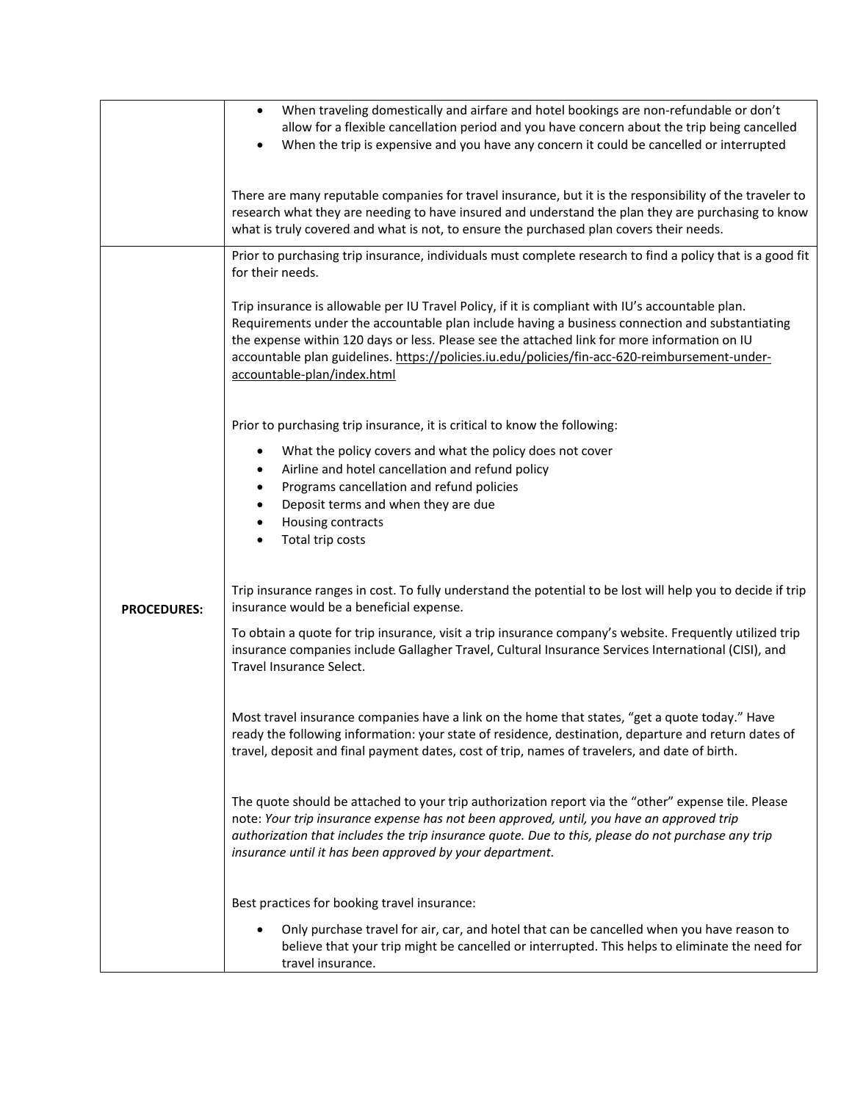|                    | When traveling domestically and airfare and hotel bookings are non-refundable or don't<br>$\bullet$                                                                                                             |
|--------------------|-----------------------------------------------------------------------------------------------------------------------------------------------------------------------------------------------------------------|
|                    | allow for a flexible cancellation period and you have concern about the trip being cancelled                                                                                                                    |
|                    |                                                                                                                                                                                                                 |
|                    | When the trip is expensive and you have any concern it could be cancelled or interrupted<br>$\bullet$                                                                                                           |
|                    |                                                                                                                                                                                                                 |
|                    | There are many reputable companies for travel insurance, but it is the responsibility of the traveler to                                                                                                        |
|                    | research what they are needing to have insured and understand the plan they are purchasing to know                                                                                                              |
|                    | what is truly covered and what is not, to ensure the purchased plan covers their needs.                                                                                                                         |
|                    |                                                                                                                                                                                                                 |
|                    | Prior to purchasing trip insurance, individuals must complete research to find a policy that is a good fit                                                                                                      |
|                    | for their needs.                                                                                                                                                                                                |
|                    |                                                                                                                                                                                                                 |
|                    | Trip insurance is allowable per IU Travel Policy, if it is compliant with IU's accountable plan.                                                                                                                |
|                    | Requirements under the accountable plan include having a business connection and substantiating                                                                                                                 |
|                    | the expense within 120 days or less. Please see the attached link for more information on IU                                                                                                                    |
|                    | accountable plan guidelines. https://policies.iu.edu/policies/fin-acc-620-reimbursement-under-                                                                                                                  |
|                    | accountable-plan/index.html                                                                                                                                                                                     |
|                    |                                                                                                                                                                                                                 |
|                    | Prior to purchasing trip insurance, it is critical to know the following:                                                                                                                                       |
|                    |                                                                                                                                                                                                                 |
|                    | What the policy covers and what the policy does not cover<br>٠                                                                                                                                                  |
|                    | Airline and hotel cancellation and refund policy<br>٠                                                                                                                                                           |
|                    | Programs cancellation and refund policies<br>٠                                                                                                                                                                  |
|                    | Deposit terms and when they are due                                                                                                                                                                             |
|                    | Housing contracts                                                                                                                                                                                               |
|                    | Total trip costs                                                                                                                                                                                                |
|                    |                                                                                                                                                                                                                 |
|                    | Trip insurance ranges in cost. To fully understand the potential to be lost will help you to decide if trip                                                                                                     |
| <b>PROCEDURES:</b> | insurance would be a beneficial expense.                                                                                                                                                                        |
|                    |                                                                                                                                                                                                                 |
|                    | To obtain a quote for trip insurance, visit a trip insurance company's website. Frequently utilized trip<br>insurance companies include Gallagher Travel, Cultural Insurance Services International (CISI), and |
|                    | Travel Insurance Select.                                                                                                                                                                                        |
|                    |                                                                                                                                                                                                                 |
|                    |                                                                                                                                                                                                                 |
|                    | Most travel insurance companies have a link on the home that states, "get a quote today." Have                                                                                                                  |
|                    | ready the following information: your state of residence, destination, departure and return dates of                                                                                                            |
|                    | travel, deposit and final payment dates, cost of trip, names of travelers, and date of birth.                                                                                                                   |
|                    |                                                                                                                                                                                                                 |
|                    | The quote should be attached to your trip authorization report via the "other" expense tile. Please                                                                                                             |
|                    | note: Your trip insurance expense has not been approved, until, you have an approved trip                                                                                                                       |
|                    | authorization that includes the trip insurance quote. Due to this, please do not purchase any trip                                                                                                              |
|                    | insurance until it has been approved by your department.                                                                                                                                                        |
|                    |                                                                                                                                                                                                                 |
|                    |                                                                                                                                                                                                                 |
|                    | Best practices for booking travel insurance:                                                                                                                                                                    |
|                    | Only purchase travel for air, car, and hotel that can be cancelled when you have reason to<br>$\bullet$                                                                                                         |
|                    | believe that your trip might be cancelled or interrupted. This helps to eliminate the need for                                                                                                                  |
|                    | travel insurance.                                                                                                                                                                                               |